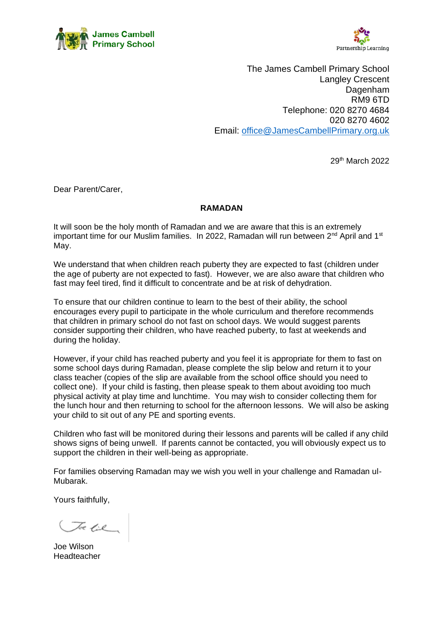



The James Cambell Primary School Langley Crescent Dagenham RM9 6TD Telephone: 020 8270 4684 020 8270 4602 Email: [office@JamesCambellPrimary.org.uk](mailto:office@JamesCambellPrimary.org.uk)

29th March 2022

Dear Parent/Carer,

## **RAMADAN**

It will soon be the holy month of Ramadan and we are aware that this is an extremely important time for our Muslim families. In 2022, Ramadan will run between  $2^{nd}$  April and 1<sup>st</sup> May.

We understand that when children reach puberty they are expected to fast (children under the age of puberty are not expected to fast). However, we are also aware that children who fast may feel tired, find it difficult to concentrate and be at risk of dehydration.

To ensure that our children continue to learn to the best of their ability, the school encourages every pupil to participate in the whole curriculum and therefore recommends that children in primary school do not fast on school days. We would suggest parents consider supporting their children, who have reached puberty, to fast at weekends and during the holiday.

However, if your child has reached puberty and you feel it is appropriate for them to fast on some school days during Ramadan, please complete the slip below and return it to your class teacher (copies of the slip are available from the school office should you need to collect one). If your child is fasting, then please speak to them about avoiding too much physical activity at play time and lunchtime. You may wish to consider collecting them for the lunch hour and then returning to school for the afternoon lessons. We will also be asking your child to sit out of any PE and sporting events.

Children who fast will be monitored during their lessons and parents will be called if any child shows signs of being unwell. If parents cannot be contacted, you will obviously expect us to support the children in their well-being as appropriate.

For families observing Ramadan may we wish you well in your challenge and Ramadan ul-Mubarak.

Yours faithfully,

Toe lie

Joe Wilson Headteacher